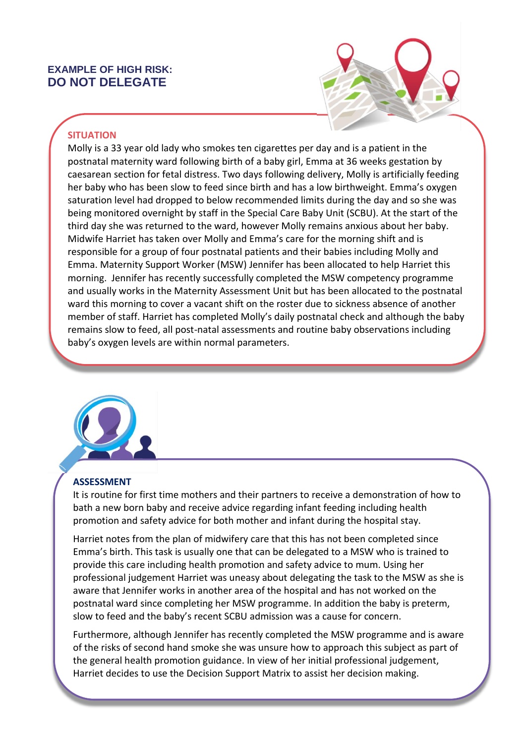## **EXAMPLE OF HIGH RISK: DO NOT DELEGATE**



## **SITUATION**

Molly is a 33 year old lady who smokes ten cigarettes per day and is a patient in the postnatal maternity ward following birth of a baby girl, Emma at 36 weeks gestation by caesarean section for fetal distress. Two days following delivery, Molly is artificially feeding her baby who has been slow to feed since birth and has a low birthweight. Emma's oxygen saturation level had dropped to below recommended limits during the day and so she was being monitored overnight by staff in the Special Care Baby Unit (SCBU). At the start of the third day she was returned to the ward, however Molly remains anxious about her baby. Midwife Harriet has taken over Molly and Emma's care for the morning shift and is responsible for a group of four postnatal patients and their babies including Molly and Emma. Maternity Support Worker (MSW) Jennifer has been allocated to help Harriet this morning. Jennifer has recently successfully completed the MSW competency programme and usually works in the Maternity Assessment Unit but has been allocated to the postnatal ward this morning to cover a vacant shift on the roster due to sickness absence of another member of staff. Harriet has completed Molly's daily postnatal check and although the baby remains slow to feed, all post-natal assessments and routine baby observations including baby's oxygen levels are within normal parameters.



Molly

## **ASSESSMENT**

It is routine for first time mothers and their partners to receive a demonstration of how to bath a new born baby and receive advice regarding infant feeding including health promotion and safety advice for both mother and infant during the hospital stay.

Harriet notes from the plan of midwifery care that this has not been completed since Emma's birth. This task is usually one that can be delegated to a MSW who is trained to provide this care including health promotion and safety advice to mum. Using her professional judgement Harriet was uneasy about delegating the task to the MSW as she is aware that Jennifer works in another area of the hospital and has not worked on the postnatal ward since completing her MSW programme. In addition the baby is preterm, slow to feed and the baby's recent SCBU admission was a cause for concern.

Furthermore, although Jennifer has recently completed the MSW programme and is aware of the risks of second hand smoke she was unsure how to approach this subject as part of the general health promotion guidance. In view of her initial professional judgement, Harriet decides to use the Decision Support Matrix to assist her decision making.